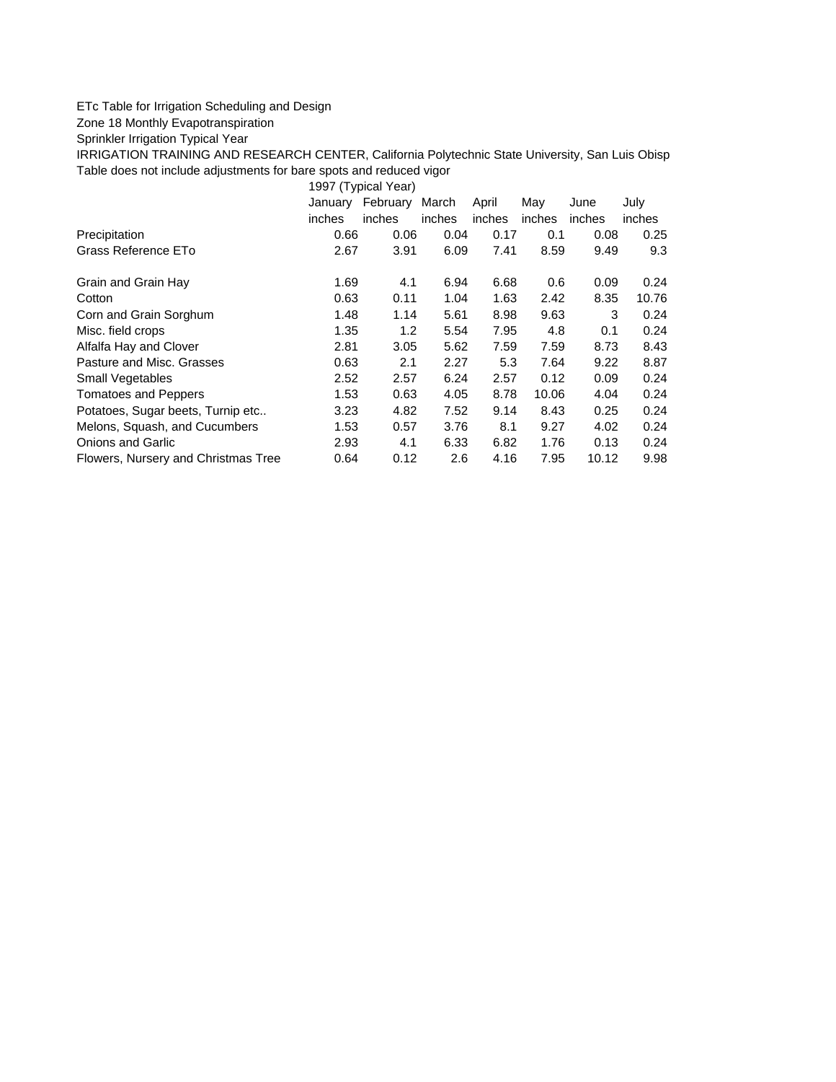## ETc Table for Irrigation Scheduling and Design

Zone 18 Monthly Evapotranspiration

Sprinkler Irrigation Typical Year

IRRIGATION TRAINING AND RESEARCH CENTER, California Polytechnic State University, San Luis Obisp Table does not include adjustments for bare spots and reduced vigor

1997 (Typical Year)

|                                     | January<br>inches | February<br>inches | March<br>inches | April<br>inches | May<br>inches | June<br>inches | July<br>inches |
|-------------------------------------|-------------------|--------------------|-----------------|-----------------|---------------|----------------|----------------|
| Precipitation                       | 0.66              | 0.06               | 0.04            | 0.17            | 0.1           | 0.08           | 0.25           |
| Grass Reference ETo                 | 2.67              | 3.91               | 6.09            | 7.41            | 8.59          | 9.49           | 9.3            |
| Grain and Grain Hay                 | 1.69              | 4.1                | 6.94            | 6.68            | 0.6           | 0.09           | 0.24           |
| Cotton                              | 0.63              | 0.11               | 1.04            | 1.63            | 2.42          | 8.35           | 10.76          |
| Corn and Grain Sorghum              | 1.48              | 1.14               | 5.61            | 8.98            | 9.63          | 3              | 0.24           |
| Misc. field crops                   | 1.35              | 1.2                | 5.54            | 7.95            | 4.8           | 0.1            | 0.24           |
| Alfalfa Hay and Clover              | 2.81              | 3.05               | 5.62            | 7.59            | 7.59          | 8.73           | 8.43           |
| Pasture and Misc. Grasses           | 0.63              | 2.1                | 2.27            | 5.3             | 7.64          | 9.22           | 8.87           |
| Small Vegetables                    | 2.52              | 2.57               | 6.24            | 2.57            | 0.12          | 0.09           | 0.24           |
| <b>Tomatoes and Peppers</b>         | 1.53              | 0.63               | 4.05            | 8.78            | 10.06         | 4.04           | 0.24           |
| Potatoes, Sugar beets, Turnip etc   | 3.23              | 4.82               | 7.52            | 9.14            | 8.43          | 0.25           | 0.24           |
| Melons, Squash, and Cucumbers       | 1.53              | 0.57               | 3.76            | 8.1             | 9.27          | 4.02           | 0.24           |
| <b>Onions and Garlic</b>            | 2.93              | 4.1                | 6.33            | 6.82            | 1.76          | 0.13           | 0.24           |
| Flowers, Nursery and Christmas Tree | 0.64              | 0.12               | 2.6             | 4.16            | 7.95          | 10.12          | 9.98           |